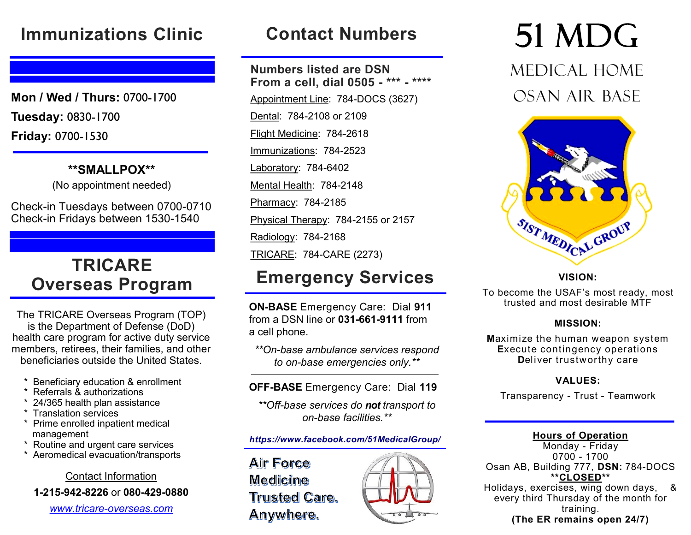## **Immunizations Clinic**

**Mon / Wed / Thurs:** 0700-1700 **Tuesday:** 0830-1700 **Friday:** 0700-1530

**\*\*SMALLPOX\*\*** 

(No appointment needed)

Check-in Tuesdays between 0700-0710 Check-in Fridays between 1530-1540

## **TRICARE Overseas Program**

The TRICARE Overseas Program (TOP) is the Department of Defense (DoD) health care program for active duty service members, retirees, their families, and other beneficiaries outside the United States.

- **Beneficiary education & enrollment**
- Referrals & authorizations
- 24/365 health plan assistance
- **Translation services**
- \* Prime enrolled inpatient medical management
- \* Routine and urgent care services
- Aeromedical evacuation/transports

Contact Information

**1-215-942-8226** or **080-429-0880** 

*www.tricare-overseas.com*

# **Contact Numbers**

**Numbers listed are DSN From a cell, dial 0505 - \*\*\* - \*\*\*\*** Appointment Line: 784-DOCS (3627) Dental: 784-2108 or 2109 Flight Medicine: 784-2618 Immunizations: 784-2523 Laboratory: 784-6402 Mental Health: 784-2148 Pharmacy: 784-2185 Physical Therapy: 784-2155 or 2157 Radiology: 784-2168 TRICARE: 784-CARE (2273)

## **Emergency Services**

**ON-BASE** Emergency Care: Dial **911** from a DSN line or **031-661-9111** from a cell phone.

*\*\*On-base ambulance services respond to on-base emergencies only.\*\** 

٦ **OFF-BASE** Emergency Care: Dial **119**

*\*\*Off-base services do not transport to on-base facilities.\*\**

#### *https://www.facebook.com/51MedicalGroup/*

**Air Force Medicine Trusted Care.** Anywhere.



# 51 MDG

Medical Home Osan Air Base



#### **VISION:**

To become the USAF's most ready, most trusted and most desirable MTF

#### **MISSION:**

**M**aximize the human weapon system **E**xecute contingency operations **D**eliver trustworthy care

#### **VALUES:**

Transparency - Trust - Teamwork

#### **Hours of Operation**

Monday - Friday 0700 - 1700 Osan AB, Building 777, **DSN:** 784-DOCS **\*\*CLOSED\*\*** Holidays, exercises, wing down days, & every third Thursday of the month for training. **(The ER remains open 24/7)**